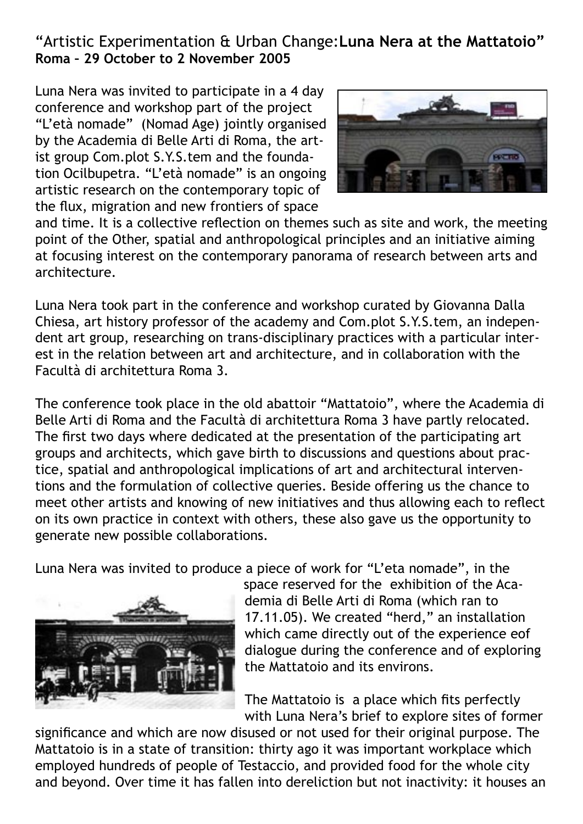## "Artistic Experimentation & Urban Change:**Luna Nera at the Mattatoio" Roma – 29 October to 2 November 2005**

Luna Nera was invited to participate in a 4 day conference and workshop part of the project "L'età nomade" (Nomad Age) jointly organised by the Academia di Belle Arti di Roma, the artist group Com.plot S.Y.S.tem and the foundation Ocilbupetra. "L'età nomade" is an ongoing artistic research on the contemporary topic of the flux, migration and new frontiers of space



and time. It is a collective reflection on themes such as site and work, the meeting point of the Other, spatial and anthropological principles and an initiative aiming at focusing interest on the contemporary panorama of research between arts and architecture.

Luna Nera took part in the conference and workshop curated by Giovanna Dalla Chiesa, art history professor of the academy and Com.plot S.Y.S.tem, an independent art group, researching on trans-disciplinary practices with a particular interest in the relation between art and architecture, and in collaboration with the Facultà di architettura Roma 3.

The conference took place in the old abattoir "Mattatoio", where the Academia di Belle Arti di Roma and the Facultà di architettura Roma 3 have partly relocated. The first two days where dedicated at the presentation of the participating art groups and architects, which gave birth to discussions and questions about practice, spatial and anthropological implications of art and architectural interventions and the formulation of collective queries. Beside offering us the chance to meet other artists and knowing of new initiatives and thus allowing each to reflect on its own practice in context with others, these also gave us the opportunity to generate new possible collaborations.

Luna Nera was invited to produce a piece of work for "L'eta nomade", in the



space reserved for the exhibition of the Academia di Belle Arti di Roma (which ran to 17.11.05). We created "herd," an installation which came directly out of the experience eof dialogue during the conference and of exploring the Mattatoio and its environs.

The Mattatoio is a place which fits perfectly with Luna Nera's brief to explore sites of former

significance and which are now disused or not used for their original purpose. The Mattatoio is in a state of transition: thirty ago it was important workplace which employed hundreds of people of Testaccio, and provided food for the whole city and beyond. Over time it has fallen into dereliction but not inactivity: it houses an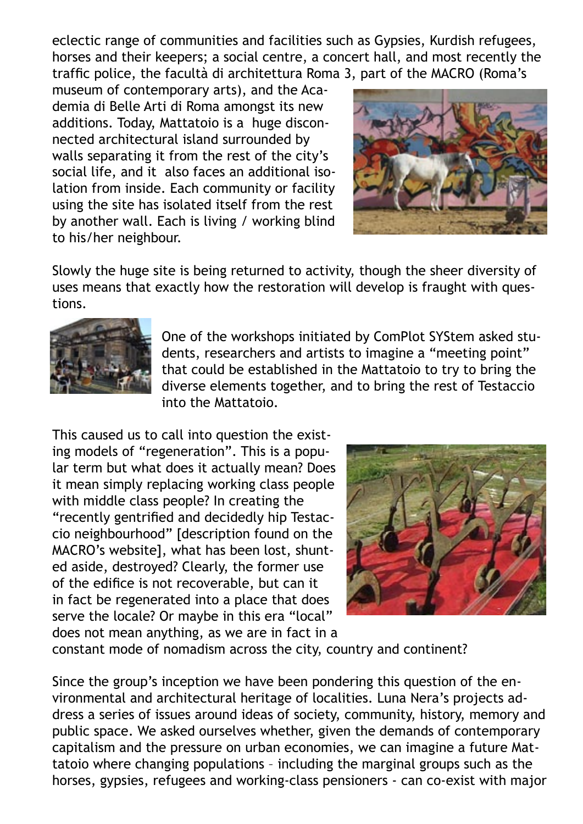eclectic range of communities and facilities such as Gypsies, Kurdish refugees, horses and their keepers; a social centre, a concert hall, and most recently the traffic police, the facultà di architettura Roma 3, part of the MACRO (Roma's

museum of contemporary arts), and the Academia di Belle Arti di Roma amongst its new additions. Today, Mattatoio is a huge disconnected architectural island surrounded by walls separating it from the rest of the city's social life, and it also faces an additional isolation from inside. Each community or facility using the site has isolated itself from the rest by another wall. Each is living / working blind to his/her neighbour.



Slowly the huge site is being returned to activity, though the sheer diversity of uses means that exactly how the restoration will develop is fraught with questions.



One of the workshops initiated by ComPlot SYStem asked students, researchers and artists to imagine a "meeting point" that could be established in the Mattatoio to try to bring the diverse elements together, and to bring the rest of Testaccio into the Mattatoio.

This caused us to call into question the existing models of "regeneration". This is a popular term but what does it actually mean? Does it mean simply replacing working class people with middle class people? In creating the "recently gentrified and decidedly hip Testaccio neighbourhood" [description found on the MACRO's website], what has been lost, shunted aside, destroyed? Clearly, the former use of the edifice is not recoverable, but can it in fact be regenerated into a place that does serve the locale? Or maybe in this era "local" does not mean anything, as we are in fact in a



constant mode of nomadism across the city, country and continent?

Since the group's inception we have been pondering this question of the environmental and architectural heritage of localities. Luna Nera's projects address a series of issues around ideas of society, community, history, memory and public space. We asked ourselves whether, given the demands of contemporary capitalism and the pressure on urban economies, we can imagine a future Mattatoio where changing populations – including the marginal groups such as the horses, gypsies, refugees and working-class pensioners - can co-exist with major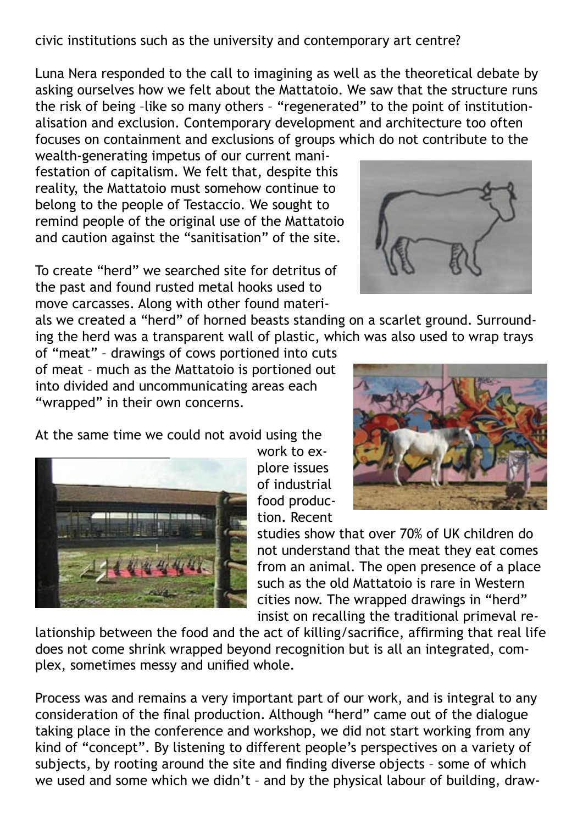civic institutions such as the university and contemporary art centre?

Luna Nera responded to the call to imagining as well as the theoretical debate by asking ourselves how we felt about the Mattatoio. We saw that the structure runs the risk of being -like so many others - "regenerated" to the point of institutionalisation and exclusion. Contemporary development and architecture too often focuses on containment and exclusions of groups which do not contribute to the

wealth-generating impetus of our current manifestation of capitalism. We felt that, despite this reality, the Mattatoio must somehow continue to belong to the people of Testaccio. We sought to remind people of the original use of the Mattatoio and caution against the "sanitisation" of the site.

To create "herd" we searched site for detritus of the past and found rusted metal hooks used to move carcasses. Along with other found materi-

als we created a "herd" of horned beasts standing on a scarlet ground. Surrounding the herd was a transparent wall of plastic, which was also used to wrap trays

of "meat" – drawings of cows portioned into cuts of meat – much as the Mattatoio is portioned out into divided and uncommunicating areas each "wrapped" in their own concerns.

At the same time we could not avoid using the

work to explore issues of industrial food production. Recent

studies show that over 70% of UK children do not understand that the meat they eat comes from an animal. The open presence of a place such as the old Mattatoio is rare in Western cities now. The wrapped drawings in "herd" insist on recalling the traditional primeval re-

lationship between the food and the act of killing/sacrifice, affirming that real life does not come shrink wrapped beyond recognition but is all an integrated, complex, sometimes messy and unified whole.

Process was and remains a very important part of our work, and is integral to any consideration of the final production. Although "herd" came out of the dialogue taking place in the conference and workshop, we did not start working from any kind of "concept". By listening to different people's perspectives on a variety of subjects, by rooting around the site and finding diverse objects – some of which we used and some which we didn't – and by the physical labour of building, draw-





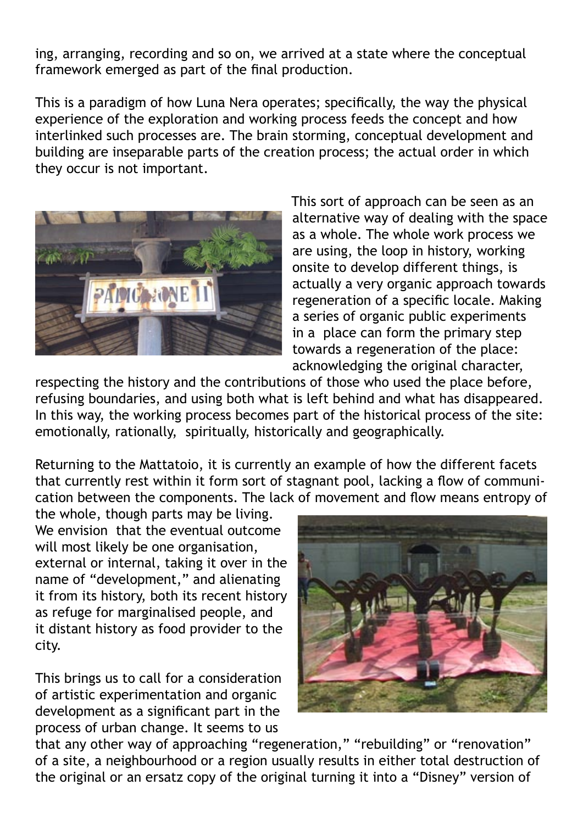ing, arranging, recording and so on, we arrived at a state where the conceptual framework emerged as part of the final production.

This is a paradigm of how Luna Nera operates; specifically, the way the physical experience of the exploration and working process feeds the concept and how interlinked such processes are. The brain storming, conceptual development and building are inseparable parts of the creation process; the actual order in which they occur is not important.



This sort of approach can be seen as an alternative way of dealing with the space as a whole. The whole work process we are using, the loop in history, working onsite to develop different things, is actually a very organic approach towards regeneration of a specific locale. Making a series of organic public experiments in a place can form the primary step towards a regeneration of the place: acknowledging the original character,

respecting the history and the contributions of those who used the place before, refusing boundaries, and using both what is left behind and what has disappeared. In this way, the working process becomes part of the historical process of the site: emotionally, rationally, spiritually, historically and geographically.

Returning to the Mattatoio, it is currently an example of how the different facets that currently rest within it form sort of stagnant pool, lacking a flow of communication between the components. The lack of movement and flow means entropy of

the whole, though parts may be living. We envision that the eventual outcome will most likely be one organisation, external or internal, taking it over in the name of "development," and alienating it from its history, both its recent history as refuge for marginalised people, and it distant history as food provider to the city.

This brings us to call for a consideration of artistic experimentation and organic development as a significant part in the process of urban change. It seems to us



that any other way of approaching "regeneration," "rebuilding" or "renovation" of a site, a neighbourhood or a region usually results in either total destruction of the original or an ersatz copy of the original turning it into a "Disney" version of